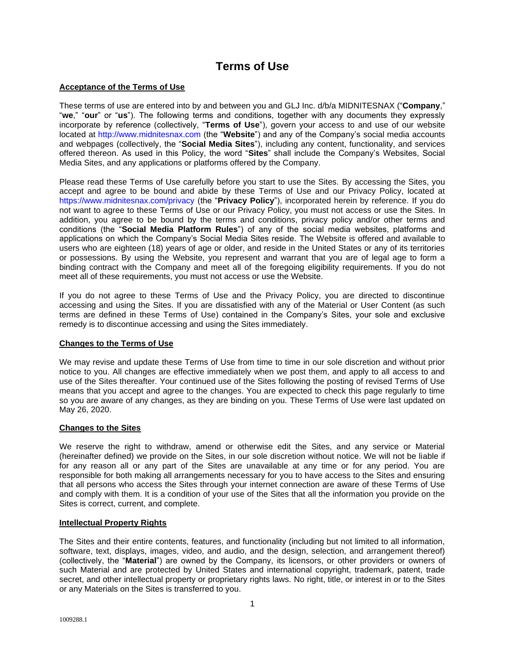# **Terms of Use**

# **Acceptance of the Terms of Use**

These terms of use are entered into by and between you and GLJ Inc. d/b/a MIDNITESNAX ("**Company**," "**we**," "**our**" or "**us**"). The following terms and conditions, together with any documents they expressly incorporate by reference (collectively, "**Terms of Use**"), govern your access to and use of our website located at [http://www.midnitesnax.com](http://www.midnitesnax.com/) (the "**Website**") and any of the Company's social media accounts and webpages (collectively, the "**Social Media Sites**"), including any content, functionality, and services offered thereon. As used in this Policy, the word "**Sites**" shall include the Company's Websites, Social Media Sites, and any applications or platforms offered by the Company.

Please read these Terms of Use carefully before you start to use the Sites. By accessing the Sites, you accept and agree to be bound and abide by these Terms of Use and our Privacy Policy, located at <https://www.midnitesnax.com/privacy> (the "**Privacy Policy**"), incorporated herein by reference. If you do not want to agree to these Terms of Use or our Privacy Policy, you must not access or use the Sites. In addition, you agree to be bound by the terms and conditions, privacy policy and/or other terms and conditions (the "**Social Media Platform Rules**") of any of the social media websites, platforms and applications on which the Company's Social Media Sites reside. The Website is offered and available to users who are eighteen (18) years of age or older, and reside in the United States or any of its territories or possessions. By using the Website, you represent and warrant that you are of legal age to form a binding contract with the Company and meet all of the foregoing eligibility requirements. If you do not meet all of these requirements, you must not access or use the Website.

If you do not agree to these Terms of Use and the Privacy Policy, you are directed to discontinue accessing and using the Sites. If you are dissatisfied with any of the Material or User Content (as such terms are defined in these Terms of Use) contained in the Company's Sites, your sole and exclusive remedy is to discontinue accessing and using the Sites immediately.

## **Changes to the Terms of Use**

We may revise and update these Terms of Use from time to time in our sole discretion and without prior notice to you. All changes are effective immediately when we post them, and apply to all access to and use of the Sites thereafter. Your continued use of the Sites following the posting of revised Terms of Use means that you accept and agree to the changes. You are expected to check this page regularly to time so you are aware of any changes, as they are binding on you. These Terms of Use were last updated on May 26, 2020.

## **Changes to the Sites**

We reserve the right to withdraw, amend or otherwise edit the Sites, and any service or Material (hereinafter defined) we provide on the Sites, in our sole discretion without notice. We will not be liable if for any reason all or any part of the Sites are unavailable at any time or for any period. You are responsible for both making all arrangements necessary for you to have access to the Sites and ensuring that all persons who access the Sites through your internet connection are aware of these Terms of Use and comply with them. It is a condition of your use of the Sites that all the information you provide on the Sites is correct, current, and complete.

## **Intellectual Property Rights**

The Sites and their entire contents, features, and functionality (including but not limited to all information, software, text, displays, images, video, and audio, and the design, selection, and arrangement thereof) (collectively, the "**Material**") are owned by the Company, its licensors, or other providers or owners of such Material and are protected by United States and international copyright, trademark, patent, trade secret, and other intellectual property or proprietary rights laws. No right, title, or interest in or to the Sites or any Materials on the Sites is transferred to you.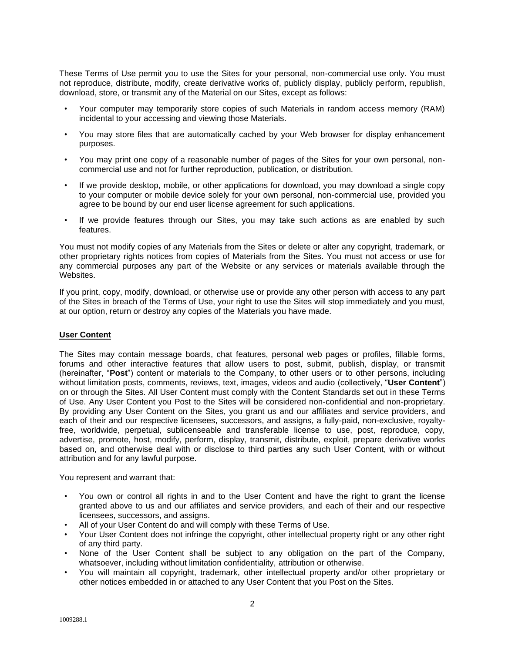These Terms of Use permit you to use the Sites for your personal, non-commercial use only. You must not reproduce, distribute, modify, create derivative works of, publicly display, publicly perform, republish, download, store, or transmit any of the Material on our Sites, except as follows:

- Your computer may temporarily store copies of such Materials in random access memory (RAM) incidental to your accessing and viewing those Materials.
- You may store files that are automatically cached by your Web browser for display enhancement purposes.
- You may print one copy of a reasonable number of pages of the Sites for your own personal, noncommercial use and not for further reproduction, publication, or distribution.
- If we provide desktop, mobile, or other applications for download, you may download a single copy to your computer or mobile device solely for your own personal, non-commercial use, provided you agree to be bound by our end user license agreement for such applications.
- If we provide features through our Sites, you may take such actions as are enabled by such features.

You must not modify copies of any Materials from the Sites or delete or alter any copyright, trademark, or other proprietary rights notices from copies of Materials from the Sites. You must not access or use for any commercial purposes any part of the Website or any services or materials available through the Websites.

If you print, copy, modify, download, or otherwise use or provide any other person with access to any part of the Sites in breach of the Terms of Use, your right to use the Sites will stop immediately and you must, at our option, return or destroy any copies of the Materials you have made.

## **User Content**

The Sites may contain message boards, chat features, personal web pages or profiles, fillable forms, forums and other interactive features that allow users to post, submit, publish, display, or transmit (hereinafter, "**Post**") content or materials to the Company, to other users or to other persons, including without limitation posts, comments, reviews, text, images, videos and audio (collectively, "**User Content**") on or through the Sites. All User Content must comply with the Content Standards set out in these Terms of Use. Any User Content you Post to the Sites will be considered non-confidential and non-proprietary. By providing any User Content on the Sites, you grant us and our affiliates and service providers, and each of their and our respective licensees, successors, and assigns, a fully-paid, non-exclusive, royaltyfree, worldwide, perpetual, sublicenseable and transferable license to use, post, reproduce, copy, advertise, promote, host, modify, perform, display, transmit, distribute, exploit, prepare derivative works based on, and otherwise deal with or disclose to third parties any such User Content, with or without attribution and for any lawful purpose.

You represent and warrant that:

- You own or control all rights in and to the User Content and have the right to grant the license granted above to us and our affiliates and service providers, and each of their and our respective licensees, successors, and assigns.
- All of your User Content do and will comply with these Terms of Use.
- Your User Content does not infringe the copyright, other intellectual property right or any other right of any third party.
- None of the User Content shall be subject to any obligation on the part of the Company, whatsoever, including without limitation confidentiality, attribution or otherwise.
- You will maintain all copyright, trademark, other intellectual property and/or other proprietary or other notices embedded in or attached to any User Content that you Post on the Sites.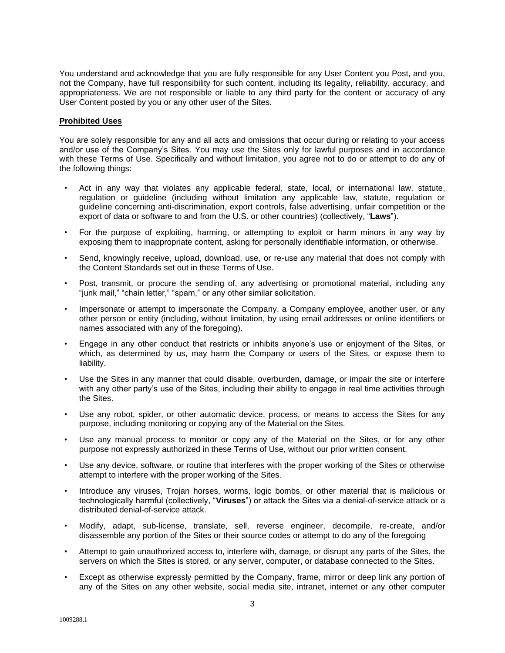You understand and acknowledge that you are fully responsible for any User Content you Post, and you, not the Company, have full responsibility for such content, including its legality, reliability, accuracy, and appropriateness. We are not responsible or liable to any third party for the content or accuracy of any User Content posted by you or any other user of the Sites.

## **Prohibited Uses**

You are solely responsible for any and all acts and omissions that occur during or relating to your access and/or use of the Company's Sites. You may use the Sites only for lawful purposes and in accordance with these Terms of Use. Specifically and without limitation, you agree not to do or attempt to do any of the following things:

- Act in any way that violates any applicable federal, state, local, or international law, statute, regulation or guideline (including without limitation any applicable law, statute, regulation or guideline concerning anti-discrimination, export controls, false advertising, unfair competition or the export of data or software to and from the U.S. or other countries) (collectively, "**Laws**").
- For the purpose of exploiting, harming, or attempting to exploit or harm minors in any way by exposing them to inappropriate content, asking for personally identifiable information, or otherwise.
- Send, knowingly receive, upload, download, use, or re-use any material that does not comply with the Content Standards set out in these Terms of Use.
- Post, transmit, or procure the sending of, any advertising or promotional material, including any "junk mail," "chain letter," "spam," or any other similar solicitation.
- Impersonate or attempt to impersonate the Company, a Company employee, another user, or any other person or entity (including, without limitation, by using email addresses or online identifiers or names associated with any of the foregoing).
- Engage in any other conduct that restricts or inhibits anyone's use or enjoyment of the Sites, or which, as determined by us, may harm the Company or users of the Sites, or expose them to liability.
- Use the Sites in any manner that could disable, overburden, damage, or impair the site or interfere with any other party's use of the Sites, including their ability to engage in real time activities through the Sites.
- Use any robot, spider, or other automatic device, process, or means to access the Sites for any purpose, including monitoring or copying any of the Material on the Sites.
- Use any manual process to monitor or copy any of the Material on the Sites, or for any other purpose not expressly authorized in these Terms of Use, without our prior written consent.
- Use any device, software, or routine that interferes with the proper working of the Sites or otherwise attempt to interfere with the proper working of the Sites.
- Introduce any viruses, Trojan horses, worms, logic bombs, or other material that is malicious or technologically harmful (collectively, "**Viruses**") or attack the Sites via a denial-of-service attack or a distributed denial-of-service attack.
- Modify, adapt, sub-license, translate, sell, reverse engineer, decompile, re-create, and/or disassemble any portion of the Sites or their source codes or attempt to do any of the foregoing
- Attempt to gain unauthorized access to, interfere with, damage, or disrupt any parts of the Sites, the servers on which the Sites is stored, or any server, computer, or database connected to the Sites.
- Except as otherwise expressly permitted by the Company, frame, mirror or deep link any portion of any of the Sites on any other website, social media site, intranet, internet or any other computer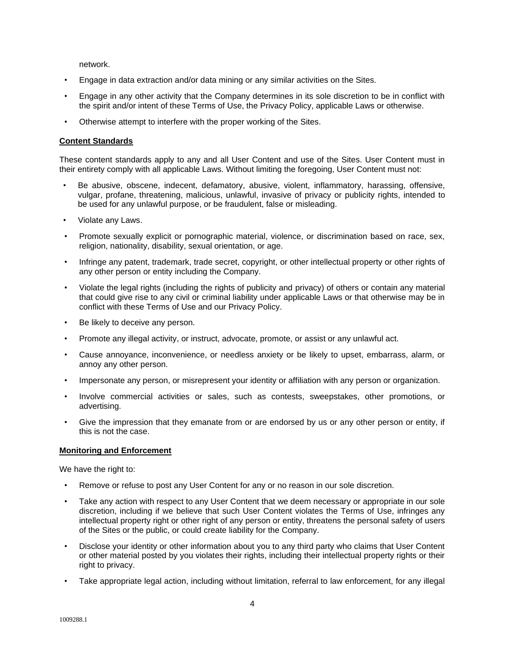network.

- Engage in data extraction and/or data mining or any similar activities on the Sites.
- Engage in any other activity that the Company determines in its sole discretion to be in conflict with the spirit and/or intent of these Terms of Use, the Privacy Policy, applicable Laws or otherwise.
- Otherwise attempt to interfere with the proper working of the Sites.

# **Content Standards**

These content standards apply to any and all User Content and use of the Sites. User Content must in their entirety comply with all applicable Laws. Without limiting the foregoing, User Content must not:

- Be abusive, obscene, indecent, defamatory, abusive, violent, inflammatory, harassing, offensive, vulgar, profane, threatening, malicious, unlawful, invasive of privacy or publicity rights, intended to be used for any unlawful purpose, or be fraudulent, false or misleading.
- Violate any Laws.
- Promote sexually explicit or pornographic material, violence, or discrimination based on race, sex, religion, nationality, disability, sexual orientation, or age.
- Infringe any patent, trademark, trade secret, copyright, or other intellectual property or other rights of any other person or entity including the Company.
- Violate the legal rights (including the rights of publicity and privacy) of others or contain any material that could give rise to any civil or criminal liability under applicable Laws or that otherwise may be in conflict with these Terms of Use and our Privacy Policy.
- Be likely to deceive any person.
- Promote any illegal activity, or instruct, advocate, promote, or assist or any unlawful act.
- Cause annoyance, inconvenience, or needless anxiety or be likely to upset, embarrass, alarm, or annoy any other person.
- Impersonate any person, or misrepresent your identity or affiliation with any person or organization.
- Involve commercial activities or sales, such as contests, sweepstakes, other promotions, or advertising.
- Give the impression that they emanate from or are endorsed by us or any other person or entity, if this is not the case.

## **Monitoring and Enforcement**

We have the right to:

- Remove or refuse to post any User Content for any or no reason in our sole discretion.
- Take any action with respect to any User Content that we deem necessary or appropriate in our sole discretion, including if we believe that such User Content violates the Terms of Use, infringes any intellectual property right or other right of any person or entity, threatens the personal safety of users of the Sites or the public, or could create liability for the Company.
- Disclose your identity or other information about you to any third party who claims that User Content or other material posted by you violates their rights, including their intellectual property rights or their right to privacy.
- Take appropriate legal action, including without limitation, referral to law enforcement, for any illegal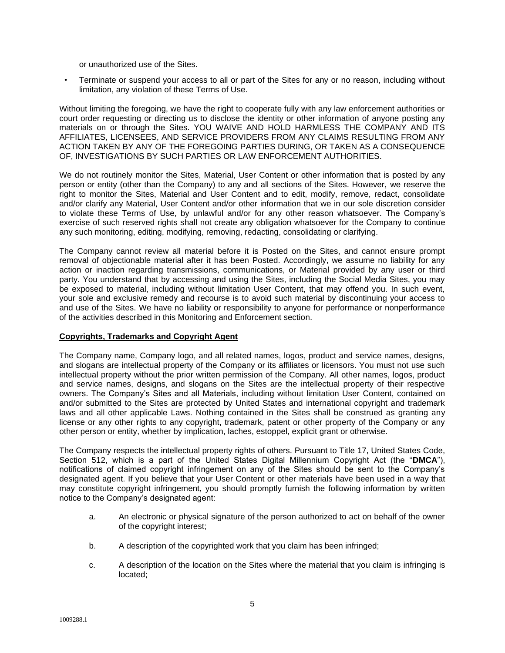or unauthorized use of the Sites.

• Terminate or suspend your access to all or part of the Sites for any or no reason, including without limitation, any violation of these Terms of Use.

Without limiting the foregoing, we have the right to cooperate fully with any law enforcement authorities or court order requesting or directing us to disclose the identity or other information of anyone posting any materials on or through the Sites. YOU WAIVE AND HOLD HARMLESS THE COMPANY AND ITS AFFILIATES, LICENSEES, AND SERVICE PROVIDERS FROM ANY CLAIMS RESULTING FROM ANY ACTION TAKEN BY ANY OF THE FOREGOING PARTIES DURING, OR TAKEN AS A CONSEQUENCE OF, INVESTIGATIONS BY SUCH PARTIES OR LAW ENFORCEMENT AUTHORITIES.

We do not routinely monitor the Sites, Material, User Content or other information that is posted by any person or entity (other than the Company) to any and all sections of the Sites. However, we reserve the right to monitor the Sites, Material and User Content and to edit, modify, remove, redact, consolidate and/or clarify any Material, User Content and/or other information that we in our sole discretion consider to violate these Terms of Use, by unlawful and/or for any other reason whatsoever. The Company's exercise of such reserved rights shall not create any obligation whatsoever for the Company to continue any such monitoring, editing, modifying, removing, redacting, consolidating or clarifying.

The Company cannot review all material before it is Posted on the Sites, and cannot ensure prompt removal of objectionable material after it has been Posted. Accordingly, we assume no liability for any action or inaction regarding transmissions, communications, or Material provided by any user or third party. You understand that by accessing and using the Sites, including the Social Media Sites, you may be exposed to material, including without limitation User Content, that may offend you. In such event, your sole and exclusive remedy and recourse is to avoid such material by discontinuing your access to and use of the Sites. We have no liability or responsibility to anyone for performance or nonperformance of the activities described in this Monitoring and Enforcement section.

## **Copyrights, Trademarks and Copyright Agent**

The Company name, Company logo, and all related names, logos, product and service names, designs, and slogans are intellectual property of the Company or its affiliates or licensors. You must not use such intellectual property without the prior written permission of the Company. All other names, logos, product and service names, designs, and slogans on the Sites are the intellectual property of their respective owners. The Company's Sites and all Materials, including without limitation User Content, contained on and/or submitted to the Sites are protected by United States and international copyright and trademark laws and all other applicable Laws. Nothing contained in the Sites shall be construed as granting any license or any other rights to any copyright, trademark, patent or other property of the Company or any other person or entity, whether by implication, laches, estoppel, explicit grant or otherwise.

The Company respects the intellectual property rights of others. Pursuant to Title 17, United States Code, Section 512, which is a part of the United States Digital Millennium Copyright Act (the "**DMCA**"), notifications of claimed copyright infringement on any of the Sites should be sent to the Company's designated agent. If you believe that your User Content or other materials have been used in a way that may constitute copyright infringement, you should promptly furnish the following information by written notice to the Company's designated agent:

- a. An electronic or physical signature of the person authorized to act on behalf of the owner of the copyright interest;
- b. A description of the copyrighted work that you claim has been infringed;
- c. A description of the location on the Sites where the material that you claim is infringing is located;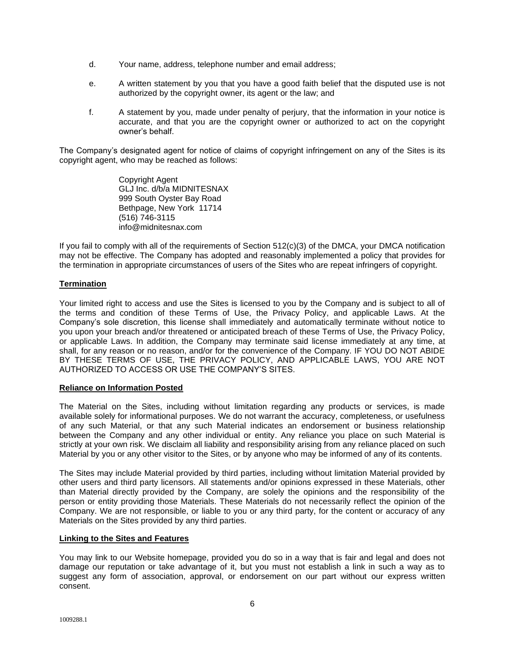- d. Your name, address, telephone number and email address;
- e. A written statement by you that you have a good faith belief that the disputed use is not authorized by the copyright owner, its agent or the law; and
- f. A statement by you, made under penalty of perjury, that the information in your notice is accurate, and that you are the copyright owner or authorized to act on the copyright owner's behalf.

The Company's designated agent for notice of claims of copyright infringement on any of the Sites is its copyright agent, who may be reached as follows:

> Copyright Agent GLJ Inc. d/b/a MIDNITESNAX 999 South Oyster Bay Road Bethpage, New York 11714 (516) 746-3115 info@midnitesnax.com

If you fail to comply with all of the requirements of Section 512(c)(3) of the DMCA, your DMCA notification may not be effective. The Company has adopted and reasonably implemented a policy that provides for the termination in appropriate circumstances of users of the Sites who are repeat infringers of copyright.

# **Termination**

Your limited right to access and use the Sites is licensed to you by the Company and is subject to all of the terms and condition of these Terms of Use, the Privacy Policy, and applicable Laws. At the Company's sole discretion, this license shall immediately and automatically terminate without notice to you upon your breach and/or threatened or anticipated breach of these Terms of Use, the Privacy Policy, or applicable Laws. In addition, the Company may terminate said license immediately at any time, at shall, for any reason or no reason, and/or for the convenience of the Company. IF YOU DO NOT ABIDE BY THESE TERMS OF USE, THE PRIVACY POLICY, AND APPLICABLE LAWS, YOU ARE NOT AUTHORIZED TO ACCESS OR USE THE COMPANY'S SITES.

# **Reliance on Information Posted**

The Material on the Sites, including without limitation regarding any products or services, is made available solely for informational purposes. We do not warrant the accuracy, completeness, or usefulness of any such Material, or that any such Material indicates an endorsement or business relationship between the Company and any other individual or entity. Any reliance you place on such Material is strictly at your own risk. We disclaim all liability and responsibility arising from any reliance placed on such Material by you or any other visitor to the Sites, or by anyone who may be informed of any of its contents.

The Sites may include Material provided by third parties, including without limitation Material provided by other users and third party licensors. All statements and/or opinions expressed in these Materials, other than Material directly provided by the Company, are solely the opinions and the responsibility of the person or entity providing those Materials. These Materials do not necessarily reflect the opinion of the Company. We are not responsible, or liable to you or any third party, for the content or accuracy of any Materials on the Sites provided by any third parties.

## **Linking to the Sites and Features**

You may link to our Website homepage, provided you do so in a way that is fair and legal and does not damage our reputation or take advantage of it, but you must not establish a link in such a way as to suggest any form of association, approval, or endorsement on our part without our express written consent.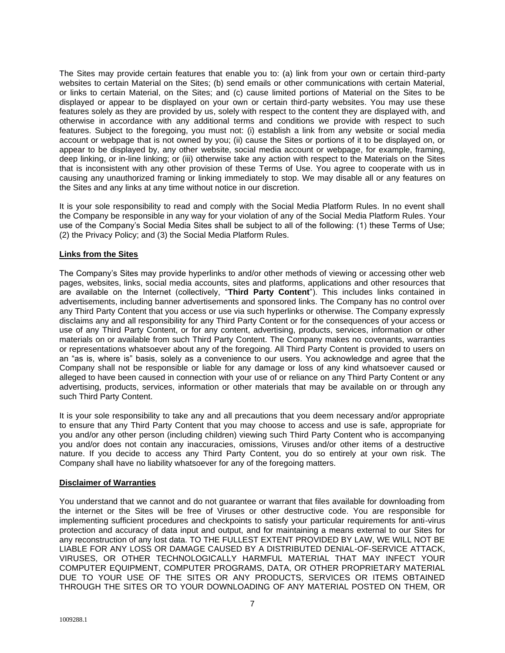The Sites may provide certain features that enable you to: (a) link from your own or certain third-party websites to certain Material on the Sites; (b) send emails or other communications with certain Material, or links to certain Material, on the Sites; and (c) cause limited portions of Material on the Sites to be displayed or appear to be displayed on your own or certain third-party websites. You may use these features solely as they are provided by us, solely with respect to the content they are displayed with, and otherwise in accordance with any additional terms and conditions we provide with respect to such features. Subject to the foregoing, you must not: (i) establish a link from any website or social media account or webpage that is not owned by you; (ii) cause the Sites or portions of it to be displayed on, or appear to be displayed by, any other website, social media account or webpage, for example, framing, deep linking, or in-line linking; or (iii) otherwise take any action with respect to the Materials on the Sites that is inconsistent with any other provision of these Terms of Use. You agree to cooperate with us in causing any unauthorized framing or linking immediately to stop. We may disable all or any features on the Sites and any links at any time without notice in our discretion.

It is your sole responsibility to read and comply with the Social Media Platform Rules. In no event shall the Company be responsible in any way for your violation of any of the Social Media Platform Rules. Your use of the Company's Social Media Sites shall be subject to all of the following: (1) these Terms of Use; (2) the Privacy Policy; and (3) the Social Media Platform Rules.

# **Links from the Sites**

The Company's Sites may provide hyperlinks to and/or other methods of viewing or accessing other web pages, websites, links, social media accounts, sites and platforms, applications and other resources that are available on the Internet (collectively, "**Third Party Content**"). This includes links contained in advertisements, including banner advertisements and sponsored links. The Company has no control over any Third Party Content that you access or use via such hyperlinks or otherwise. The Company expressly disclaims any and all responsibility for any Third Party Content or for the consequences of your access or use of any Third Party Content, or for any content, advertising, products, services, information or other materials on or available from such Third Party Content. The Company makes no covenants, warranties or representations whatsoever about any of the foregoing. All Third Party Content is provided to users on an "as is, where is" basis, solely as a convenience to our users. You acknowledge and agree that the Company shall not be responsible or liable for any damage or loss of any kind whatsoever caused or alleged to have been caused in connection with your use of or reliance on any Third Party Content or any advertising, products, services, information or other materials that may be available on or through any such Third Party Content.

It is your sole responsibility to take any and all precautions that you deem necessary and/or appropriate to ensure that any Third Party Content that you may choose to access and use is safe, appropriate for you and/or any other person (including children) viewing such Third Party Content who is accompanying you and/or does not contain any inaccuracies, omissions, Viruses and/or other items of a destructive nature. If you decide to access any Third Party Content, you do so entirely at your own risk. The Company shall have no liability whatsoever for any of the foregoing matters.

## **Disclaimer of Warranties**

You understand that we cannot and do not guarantee or warrant that files available for downloading from the internet or the Sites will be free of Viruses or other destructive code. You are responsible for implementing sufficient procedures and checkpoints to satisfy your particular requirements for anti-virus protection and accuracy of data input and output, and for maintaining a means external to our Sites for any reconstruction of any lost data. TO THE FULLEST EXTENT PROVIDED BY LAW, WE WILL NOT BE LIABLE FOR ANY LOSS OR DAMAGE CAUSED BY A DISTRIBUTED DENIAL-OF-SERVICE ATTACK, VIRUSES, OR OTHER TECHNOLOGICALLY HARMFUL MATERIAL THAT MAY INFECT YOUR COMPUTER EQUIPMENT, COMPUTER PROGRAMS, DATA, OR OTHER PROPRIETARY MATERIAL DUE TO YOUR USE OF THE SITES OR ANY PRODUCTS, SERVICES OR ITEMS OBTAINED THROUGH THE SITES OR TO YOUR DOWNLOADING OF ANY MATERIAL POSTED ON THEM, OR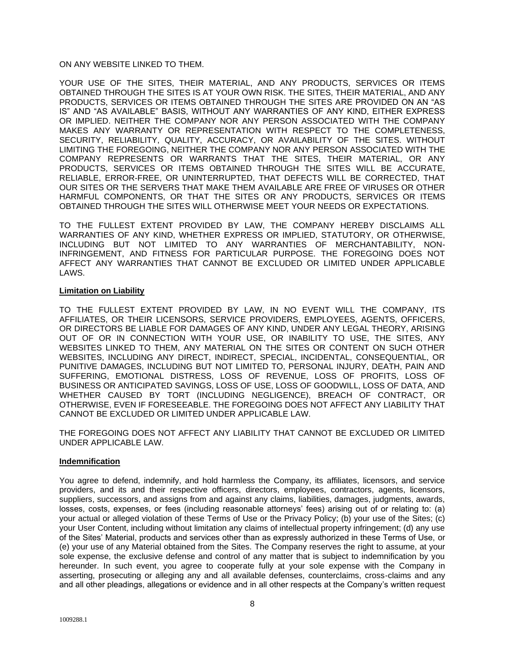# ON ANY WEBSITE LINKED TO THEM.

YOUR USE OF THE SITES, THEIR MATERIAL, AND ANY PRODUCTS, SERVICES OR ITEMS OBTAINED THROUGH THE SITES IS AT YOUR OWN RISK. THE SITES, THEIR MATERIAL, AND ANY PRODUCTS, SERVICES OR ITEMS OBTAINED THROUGH THE SITES ARE PROVIDED ON AN "AS IS" AND "AS AVAILABLE" BASIS, WITHOUT ANY WARRANTIES OF ANY KIND, EITHER EXPRESS OR IMPLIED. NEITHER THE COMPANY NOR ANY PERSON ASSOCIATED WITH THE COMPANY MAKES ANY WARRANTY OR REPRESENTATION WITH RESPECT TO THE COMPLETENESS, SECURITY, RELIABILITY, QUALITY, ACCURACY, OR AVAILABILITY OF THE SITES. WITHOUT LIMITING THE FOREGOING, NEITHER THE COMPANY NOR ANY PERSON ASSOCIATED WITH THE COMPANY REPRESENTS OR WARRANTS THAT THE SITES, THEIR MATERIAL, OR ANY PRODUCTS, SERVICES OR ITEMS OBTAINED THROUGH THE SITES WILL BE ACCURATE, RELIABLE, ERROR-FREE, OR UNINTERRUPTED, THAT DEFECTS WILL BE CORRECTED, THAT OUR SITES OR THE SERVERS THAT MAKE THEM AVAILABLE ARE FREE OF VIRUSES OR OTHER HARMFUL COMPONENTS, OR THAT THE SITES OR ANY PRODUCTS, SERVICES OR ITEMS OBTAINED THROUGH THE SITES WILL OTHERWISE MEET YOUR NEEDS OR EXPECTATIONS.

TO THE FULLEST EXTENT PROVIDED BY LAW, THE COMPANY HEREBY DISCLAIMS ALL WARRANTIES OF ANY KIND, WHETHER EXPRESS OR IMPLIED, STATUTORY, OR OTHERWISE, INCLUDING BUT NOT LIMITED TO ANY WARRANTIES OF MERCHANTABILITY, NON-INFRINGEMENT, AND FITNESS FOR PARTICULAR PURPOSE. THE FOREGOING DOES NOT AFFECT ANY WARRANTIES THAT CANNOT BE EXCLUDED OR LIMITED UNDER APPLICABLE LAWS.

# **Limitation on Liability**

TO THE FULLEST EXTENT PROVIDED BY LAW, IN NO EVENT WILL THE COMPANY, ITS AFFILIATES, OR THEIR LICENSORS, SERVICE PROVIDERS, EMPLOYEES, AGENTS, OFFICERS, OR DIRECTORS BE LIABLE FOR DAMAGES OF ANY KIND, UNDER ANY LEGAL THEORY, ARISING OUT OF OR IN CONNECTION WITH YOUR USE, OR INABILITY TO USE, THE SITES, ANY WEBSITES LINKED TO THEM, ANY MATERIAL ON THE SITES OR CONTENT ON SUCH OTHER WEBSITES, INCLUDING ANY DIRECT, INDIRECT, SPECIAL, INCIDENTAL, CONSEQUENTIAL, OR PUNITIVE DAMAGES, INCLUDING BUT NOT LIMITED TO, PERSONAL INJURY, DEATH, PAIN AND SUFFERING, EMOTIONAL DISTRESS, LOSS OF REVENUE, LOSS OF PROFITS, LOSS OF BUSINESS OR ANTICIPATED SAVINGS, LOSS OF USE, LOSS OF GOODWILL, LOSS OF DATA, AND WHETHER CAUSED BY TORT (INCLUDING NEGLIGENCE), BREACH OF CONTRACT, OR OTHERWISE, EVEN IF FORESEEABLE. THE FOREGOING DOES NOT AFFECT ANY LIABILITY THAT CANNOT BE EXCLUDED OR LIMITED UNDER APPLICABLE LAW.

THE FOREGOING DOES NOT AFFECT ANY LIABILITY THAT CANNOT BE EXCLUDED OR LIMITED UNDER APPLICABLE LAW.

## **Indemnification**

You agree to defend, indemnify, and hold harmless the Company, its affiliates, licensors, and service providers, and its and their respective officers, directors, employees, contractors, agents, licensors, suppliers, successors, and assigns from and against any claims, liabilities, damages, judgments, awards, losses, costs, expenses, or fees (including reasonable attorneys' fees) arising out of or relating to: (a) your actual or alleged violation of these Terms of Use or the Privacy Policy; (b) your use of the Sites; (c) your User Content, including without limitation any claims of intellectual property infringement; (d) any use of the Sites' Material, products and services other than as expressly authorized in these Terms of Use, or (e) your use of any Material obtained from the Sites. The Company reserves the right to assume, at your sole expense, the exclusive defense and control of any matter that is subject to indemnification by you hereunder. In such event, you agree to cooperate fully at your sole expense with the Company in asserting, prosecuting or alleging any and all available defenses, counterclaims, cross-claims and any and all other pleadings, allegations or evidence and in all other respects at the Company's written request